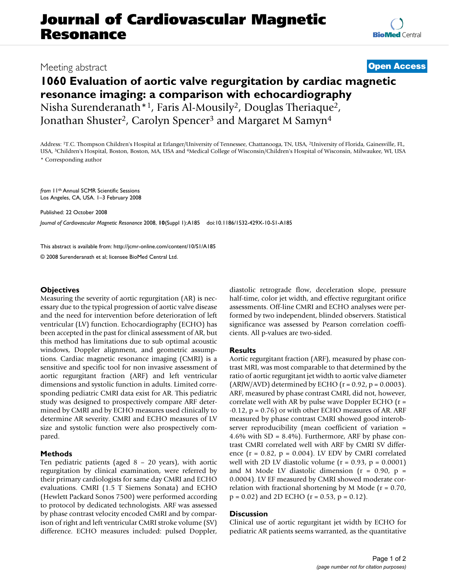## **Journal of Cardiovascular Magnetic Resonance**

### Meeting abstract **[Open Access](http://www.biomedcentral.com/info/about/charter/)**

# **1060 Evaluation of aortic valve regurgitation by cardiac magnetic resonance imaging: a comparison with echocardiography**

Nisha Surenderanath\*1, Faris Al-Mousily2, Douglas Theriaque2, Jonathan Shuster<sup>2</sup>, Carolyn Spencer<sup>3</sup> and Margaret M Samyn<sup>4</sup>

Address: 1T.C. Thompson Children's Hospital at Erlanger/University of Tennessee, Chattanooga, TN, USA, 2University of Florida, Gainesville, FL, USA, 3Children's Hospital, Boston, Boston, MA, USA and 4Medical College of Wisconsin/Children's Hospital of Wisconsin, Milwaukee, WI, USA \* Corresponding author

*from* 11th Annual SCMR Scientific Sessions Los Angeles, CA, USA. 1–3 February 2008

Published: 22 October 2008

*Journal of Cardiovascular Magnetic Resonance* 2008, **10**(Suppl 1):A185 doi:10.1186/1532-429X-10-S1-A185

[This abstract is available from: http://jcmr-online.com/content/10/S1/A185](http://jcmr-online.com/content/10/S1/A185)

© 2008 Surenderanath et al; licensee BioMed Central Ltd.

#### **Objectives**

Measuring the severity of aortic regurgitation (AR) is necessary due to the typical progression of aortic valve disease and the need for intervention before deterioration of left ventricular (LV) function. Echocardiography (ECHO) has been accepted in the past for clinical assessment of AR, but this method has limitations due to sub optimal acoustic windows, Doppler alignment, and geometric assumptions. Cardiac magnetic resonance imaging (CMRI) is a sensitive and specific tool for non invasive assessment of aortic regurgitant fraction (ARF) and left ventricular dimensions and systolic function in adults. Limited corresponding pediatric CMRI data exist for AR. This pediatric study was designed to prospectively compare ARF determined by CMRI and by ECHO measures used clinically to determine AR severity. CMRI and ECHO measures of LV size and systolic function were also prospectively compared.

#### **Methods**

Ten pediatric patients (aged 8 – 20 years), with aortic regurgitation by clinical examination, were referred by their primary cardiologists for same day CMRI and ECHO evaluations. CMRI (1.5 T Siemens Sonata) and ECHO (Hewlett Packard Sonos 7500) were performed according to protocol by dedicated technologists. ARF was assessed by phase contrast velocity encoded CMRI and by comparison of right and left ventricular CMRI stroke volume (SV) difference. ECHO measures included: pulsed Doppler, diastolic retrograde flow, deceleration slope, pressure half-time, color jet width, and effective regurgitant orifice assessments. Off-line CMRI and ECHO analyses were performed by two independent, blinded observers. Statistical significance was assessed by Pearson correlation coefficients. All p-values are two-sided.

#### **Results**

Aortic regurgitant fraction (ARF), measured by phase contrast MRI, was most comparable to that determined by the ratio of aortic regurgitant jet width to aortic valve diameter (ARJW/AVD) determined by ECHO ( $r = 0.92$ ,  $p = 0.0003$ ). ARF, measured by phase contrast CMRI, did not, however, correlate well with AR by pulse wave Doppler ECHO  $(r =$  $-0.12$ ,  $p = 0.76$ ) or with other ECHO measures of AR. ARF measured by phase contrast CMRI showed good interobserver reproducibility (mean coefficient of variation = 4.6% with  $SD = 8.4\%$ ). Furthermore, ARF by phase contrast CMRI correlated well with ARF by CMRI SV difference ( $r = 0.82$ ,  $p = 0.004$ ). LV EDV by CMRI correlated well with 2D LV diastolic volume  $(r = 0.93, p = 0.0001)$ and M Mode LV diastolic dimension ( $r = 0.90$ ,  $p =$ 0.0004). LV EF measured by CMRI showed moderate correlation with fractional shortening by M Mode ( $r = 0.70$ ,  $p = 0.02$ ) and 2D ECHO ( $r = 0.53$ ,  $p = 0.12$ ).

#### **Discussion**

Clinical use of aortic regurgitant jet width by ECHO for pediatric AR patients seems warranted, as the quantitative